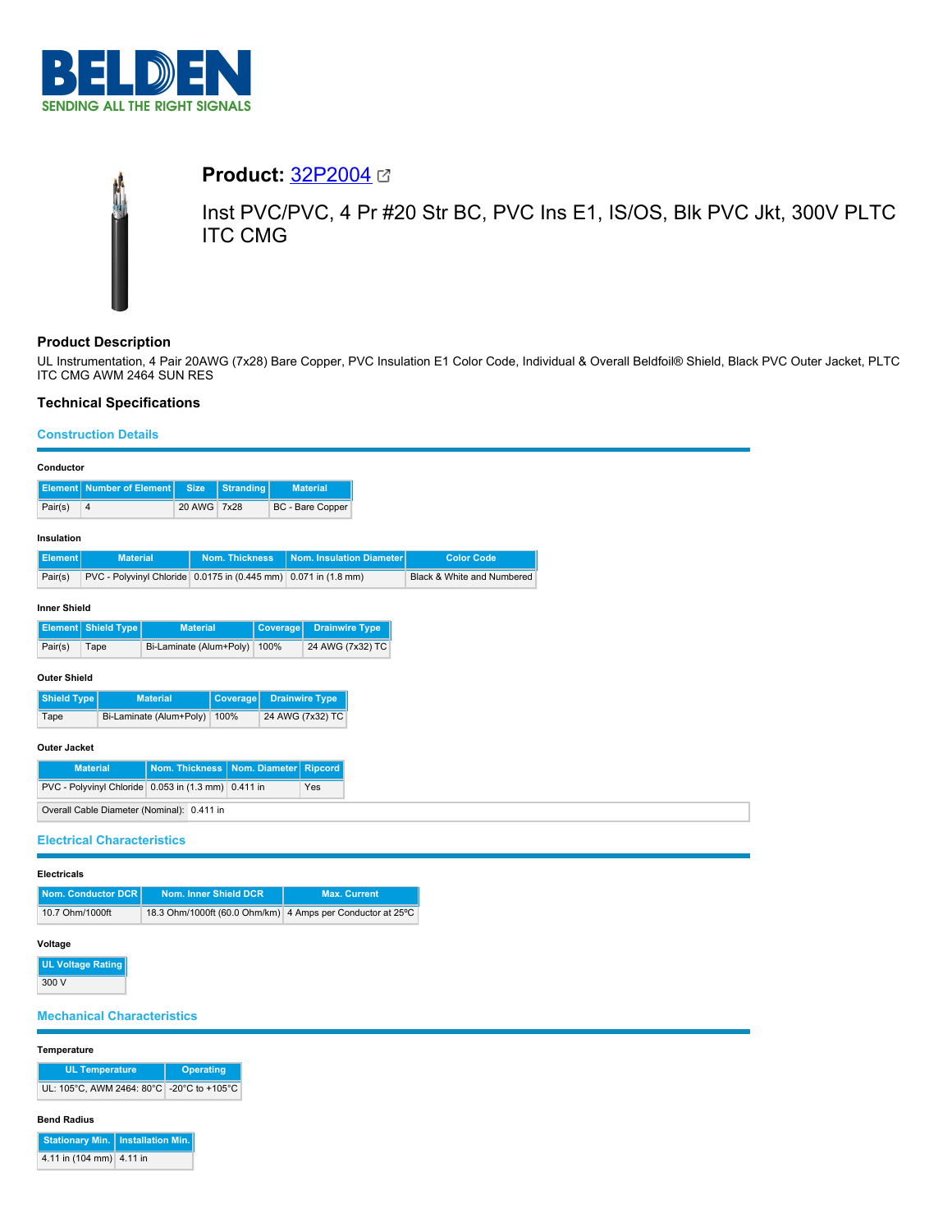

# **Product:** [32P2004](https://catalog.belden.com/index.cfm?event=pd&p=PF_32P2004&tab=downloads)

Inst PVC/PVC, 4 Pr #20 Str BC, PVC Ins E1, IS/OS, Blk PVC Jkt, 300V PLTC ITC CMG

# **Product Description**

UL Instrumentation, 4 Pair 20AWG (7x28) Bare Copper, PVC Insulation E1 Color Code, Individual & Overall Beldfoil® Shield, Black PVC Outer Jacket, PLTC ITC CMG AWM 2464 SUN RES

# **Technical Specifications**

## **Construction Details**

| Conductor                                                  |                                                                               |                         |                       |                       |                          |  |                            |  |
|------------------------------------------------------------|-------------------------------------------------------------------------------|-------------------------|-----------------------|-----------------------|--------------------------|--|----------------------------|--|
| <b>Element</b>                                             | <b>Number of Element</b><br><b>Stranding</b><br><b>Size</b>                   |                         |                       | <b>Material</b>       |                          |  |                            |  |
| Pair(s)                                                    | $\overline{4}$                                                                | 20 AWG 7x28             |                       |                       | BC - Bare Copper         |  |                            |  |
| Insulation                                                 |                                                                               |                         |                       |                       |                          |  |                            |  |
| <b>Element</b><br><b>Material</b>                          |                                                                               |                         | <b>Nom. Thickness</b> |                       | Nom. Insulation Diameter |  | <b>Color Code</b>          |  |
| Pair(s)                                                    | PVC - Polyvinyl Chloride 0.0175 in (0.445 mm)                                 |                         |                       |                       | $0.071$ in $(1.8$ mm)    |  | Black & White and Numbered |  |
| <b>Inner Shield</b>                                        |                                                                               |                         |                       |                       |                          |  |                            |  |
|                                                            | <b>Element</b> Shield Type<br><b>Material</b>                                 |                         | Coverage              | <b>Drainwire Type</b> |                          |  |                            |  |
| Pair(s)                                                    | Tape                                                                          | Bi-Laminate (Alum+Poly) |                       | 100%                  | 24 AWG (7x32) TC         |  |                            |  |
| <b>Outer Shield</b>                                        |                                                                               |                         |                       |                       |                          |  |                            |  |
| <b>Shield Type</b>                                         |                                                                               | <b>Material</b>         | Coverage              |                       | <b>Drainwire Type</b>    |  |                            |  |
| Bi-Laminate (Alum+Poly)<br>100%<br>Tape                    |                                                                               | 24 AWG (7x32) TC        |                       |                       |                          |  |                            |  |
| <b>Outer Jacket</b>                                        |                                                                               |                         |                       |                       |                          |  |                            |  |
|                                                            | <b>Material</b>                                                               | Nom. Thickness          |                       |                       | Nom. Diameter Ripcord    |  |                            |  |
| PVC - Polyvinyl Chloride 0.053 in (1.3 mm) 0.411 in<br>Yes |                                                                               |                         |                       |                       |                          |  |                            |  |
| Overall Cable Diameter (Nominal): 0.411 in                 |                                                                               |                         |                       |                       |                          |  |                            |  |
| <b>Electrical Characteristics</b>                          |                                                                               |                         |                       |                       |                          |  |                            |  |
| <b>Electricals</b>                                         |                                                                               |                         |                       |                       |                          |  |                            |  |
|                                                            | <b>Nom. Conductor DCR</b><br>Nom. Inner Shield DCR<br><b>Max. Current</b>     |                         |                       |                       |                          |  |                            |  |
|                                                            | 18.3 Ohm/1000ft (60.0 Ohm/km) 4 Amps per Conductor at 25°C<br>10.7 Ohm/1000ft |                         |                       |                       |                          |  |                            |  |

#### **Voltage**

**UL Voltage Rating** 300 V

# **Mechanical Characteristics**

#### **Temperature**

| <b>UL Temperature</b>                     | Operating |  |
|-------------------------------------------|-----------|--|
| UL: 105°C. AWM 2464: 80°C -20°C to +105°C |           |  |

#### **Bend Radius**

| Stationary Min.   Installation Min. |  |
|-------------------------------------|--|
| 4.11 in (104 mm) 4.11 in            |  |